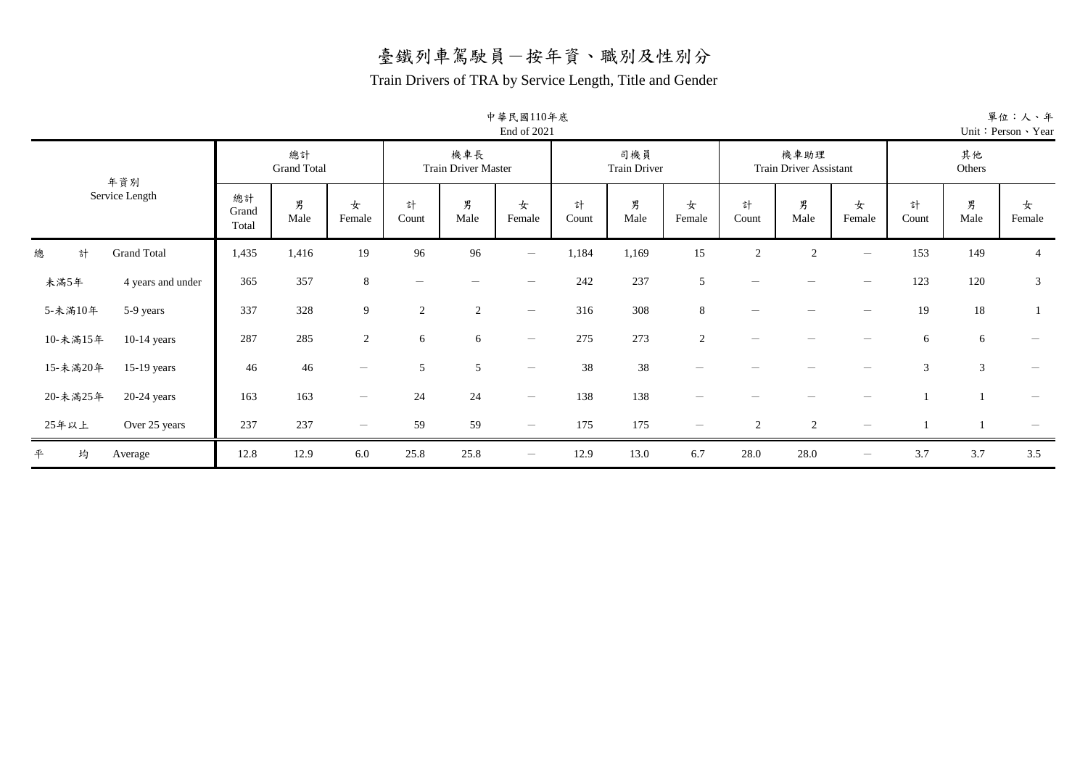#### Train Drivers of TRA by Service Length, Title and Gender

| 中華民國110年底   |
|-------------|
| End of 2021 |

|                              |                          |                          |                                 |                          |                                   | $1.114 \times 1.01$             |            |                            |                          |            |                                       |                                 |                | $\mathbf{u}$ . $\mathbf{v}$ |                |
|------------------------------|--------------------------|--------------------------|---------------------------------|--------------------------|-----------------------------------|---------------------------------|------------|----------------------------|--------------------------|------------|---------------------------------------|---------------------------------|----------------|-----------------------------|----------------|
| 年資別<br>Service Length        |                          | 總計<br><b>Grand Total</b> |                                 |                          | 機車長<br><b>Train Driver Master</b> |                                 |            | 司機員<br><b>Train Driver</b> |                          |            | 機車助理<br><b>Train Driver Assistant</b> |                                 |                | 其他<br>Others                |                |
|                              | 總計<br>Grand<br>Total     | 男<br>Male                | 女<br>Female                     | 計<br>Count               | 男<br>Male                         | 女<br>Female                     | 計<br>Count | 男<br>Male                  | 女<br>Female              | 計<br>Count | 男<br>Male                             | 女<br>Female                     | 計<br>Count     | 男<br>Male                   | 女<br>Female    |
| <b>Grand Total</b><br>總<br>計 | 1,435                    | 1,416                    | 19                              | 96                       | 96                                | $\hspace{0.1mm}-\hspace{0.1mm}$ | 1,184      | 1,169                      | 15                       | 2          | 2                                     | -                               | 153            | 149                         | $\overline{4}$ |
| 未滿5年                         | 365<br>4 years and under | 357                      | 8                               | $\overline{\phantom{0}}$ |                                   |                                 | 242        | 237                        | 5                        |            |                                       |                                 | 123            | 120                         | $\mathfrak{Z}$ |
| 5-未滿10年<br>5-9 years         | 337                      | 328                      | 9                               | 2                        | $\overline{2}$                    | $\hspace{0.1mm}-\hspace{0.1mm}$ | 316        | 308                        | 8                        |            |                                       |                                 | 19             | 18                          |                |
| 10-未滿15年<br>$10-14$ years    | 287                      | 285                      | $\overline{c}$                  | 6                        | 6                                 | $\hspace{0.1mm}-\hspace{0.1mm}$ | 275        | 273                        | 2                        |            |                                       |                                 | 6              | 6                           |                |
| 15-未滿20年<br>$15-19$ years    | 46                       | 46                       | $\hspace{0.1mm}-\hspace{0.1mm}$ | 5                        | 5                                 | $\hspace{0.1mm}-\hspace{0.1mm}$ | 38         | 38                         |                          |            |                                       |                                 | $\mathfrak{Z}$ | $\mathfrak{Z}$              |                |
| 20-未滿25年<br>$20-24$ years    | 163                      | 163                      | $\hspace{0.1mm}-\hspace{0.1mm}$ | 24                       | 24                                | $\overline{\phantom{a}}$        | 138        | 138                        |                          |            |                                       |                                 |                |                             |                |
| 25年以上<br>Over 25 years       | 237                      | 237                      | $\hspace{0.1mm}-\hspace{0.1mm}$ | 59                       | 59                                | $\hspace{0.1mm}-\hspace{0.1mm}$ | 175        | 175                        | $\overline{\phantom{m}}$ | 2          | 2                                     | $\overbrace{\phantom{12333}}$   |                |                             |                |
| 平<br>均<br>Average            | 12.8                     | 12.9                     | 6.0                             | 25.8                     | 25.8                              | $\hspace{0.1mm}-\hspace{0.1mm}$ | 12.9       | 13.0                       | 6.7                      | 28.0       | 28.0                                  | $\hspace{0.1mm}-\hspace{0.1mm}$ | 3.7            | 3.7                         | 3.5            |

單位:人、年 Unit:Person、Year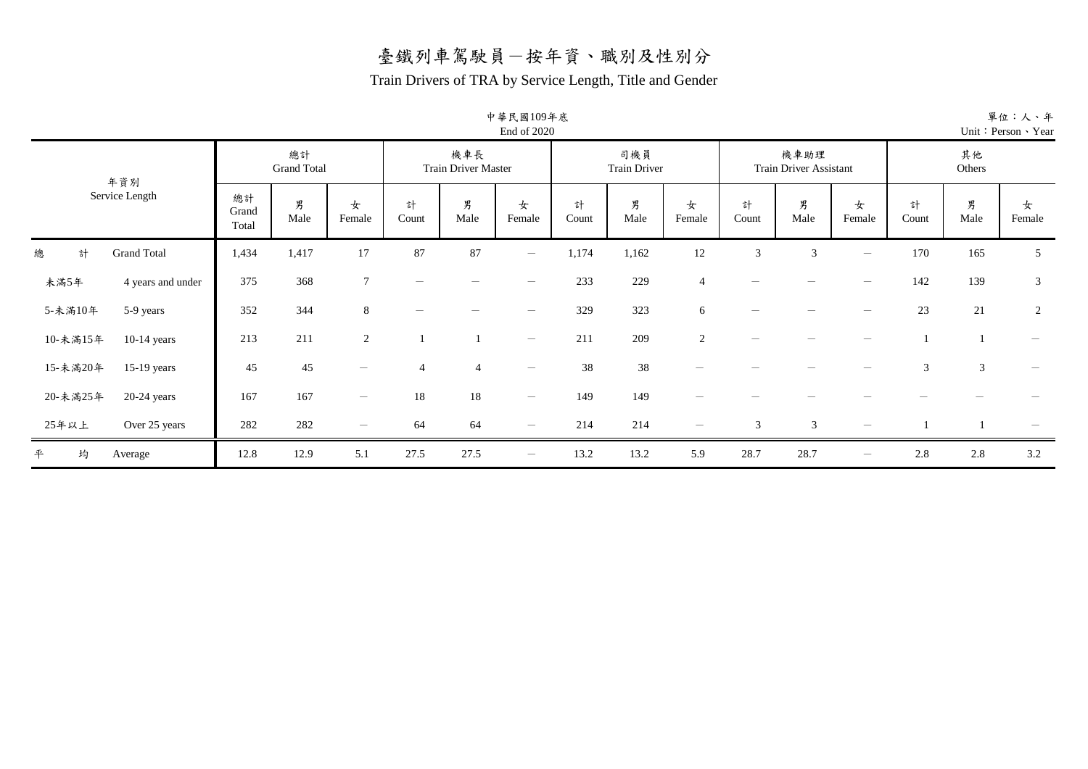#### Train Drivers of TRA by Service Length, Title and Gender

| 中華民國109年底     |
|---------------|
| End of $2020$ |

| 年資別<br>Service Length        |                      | 總計<br><b>Grand Total</b> |                                       |                | 機車長<br><b>Train Driver Master</b> |                                 |            | 司機員<br><b>Train Driver</b> |                          |            | 機車助理<br><b>Train Driver Assistant</b> |                                 |            | 其他<br>Others   |                |
|------------------------------|----------------------|--------------------------|---------------------------------------|----------------|-----------------------------------|---------------------------------|------------|----------------------------|--------------------------|------------|---------------------------------------|---------------------------------|------------|----------------|----------------|
|                              | 總計<br>Grand<br>Total | 男<br>Male                | 女<br>Female                           | 計<br>Count     | 男<br>Male                         | 女<br>Female                     | 計<br>Count | 男<br>Male                  | 女<br>Female              | 計<br>Count | 男<br>Male                             | 女<br>Female                     | 計<br>Count | 男<br>Male      | 女<br>Female    |
| <b>Grand Total</b><br>計<br>總 | 1,434                | 1,417                    | 17                                    | 87             | 87                                | $\overline{\phantom{m}}$        | 1,174      | 1,162                      | 12                       | 3          | 3                                     | $\overline{\phantom{m}}$        | 170        | 165            | 5              |
| 未滿5年<br>4 years and under    | 375                  | 368                      | $\tau$                                |                |                                   |                                 | 233        | 229                        | $\overline{4}$           |            |                                       |                                 | 142        | 139            | 3              |
| 5-未滿10年<br>5-9 years         | 352                  | 344                      | 8                                     |                |                                   | $\hspace{0.1mm}-\hspace{0.1mm}$ | 329        | 323                        | 6                        |            |                                       |                                 | 23         | 21             | $\overline{c}$ |
| 10-未滿15年<br>$10-14$ years    | 213                  | 211                      | $\overline{2}$                        |                |                                   | $\hspace{0.1mm}-\hspace{0.1mm}$ | 211        | 209                        | 2                        |            |                                       |                                 |            |                |                |
| 15-未滿20年<br>$15-19$ years    | 45                   | 45                       | $\qquad \qquad$                       | $\overline{4}$ | $\overline{4}$                    | $\hspace{0.1mm}-\hspace{0.1mm}$ | 38         | 38                         |                          |            |                                       |                                 | 3          | $\mathfrak{Z}$ |                |
| 20-未滿25年<br>$20-24$ years    | 167                  | 167                      | $\hspace{1.0cm} \rule{1.5cm}{0.15cm}$ | 18             | $18\,$                            | $\hspace{0.1mm}-\hspace{0.1mm}$ | 149        | 149                        |                          |            |                                       |                                 |            |                |                |
| 25年以上<br>Over 25 years       | 282                  | 282                      | $\hspace{1.0cm} \rule{1.5cm}{0.15cm}$ | 64             | 64                                | $\overline{\phantom{m}}$        | 214        | 214                        | $\overline{\phantom{m}}$ | 3          | 3                                     | $\hspace{0.1mm}-\hspace{0.1mm}$ |            |                |                |
| 均<br>平<br>Average            | 12.8                 | 12.9                     | 5.1                                   | 27.5           | 27.5                              | $\overline{\phantom{m}}$        | 13.2       | 13.2                       | 5.9                      | 28.7       | 28.7                                  | $\overline{\phantom{0}}$        | 2.8        | 2.8            | 3.2            |

單位:人、年 Unit: Person、Year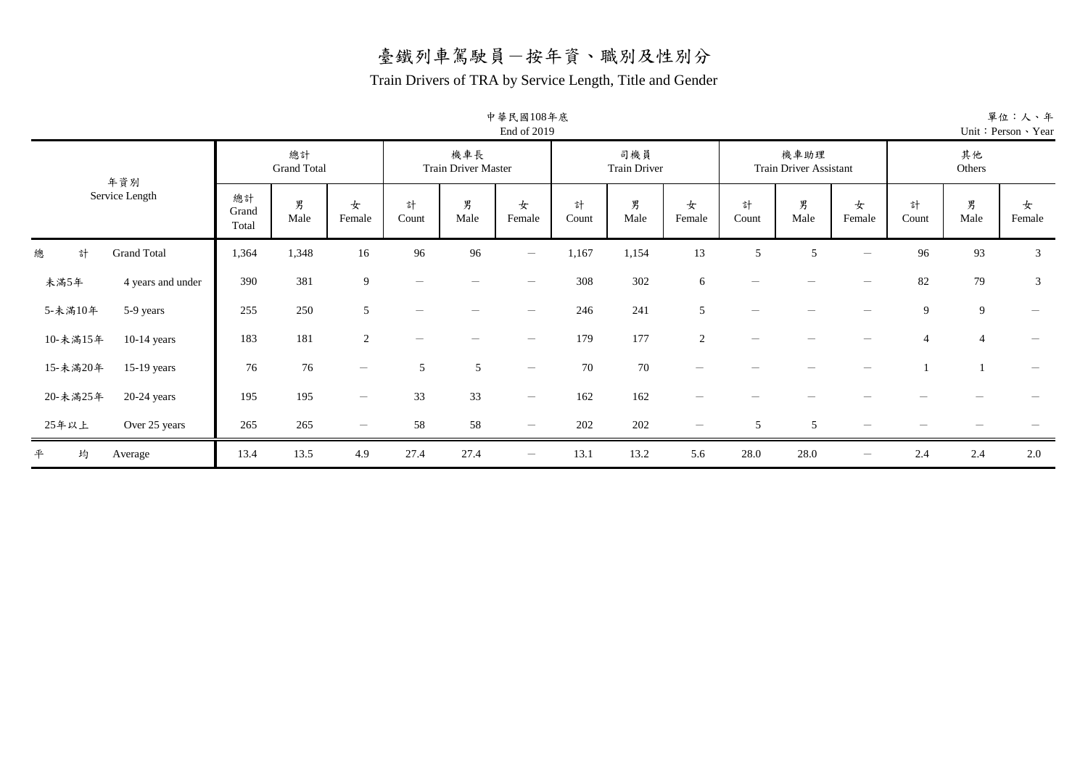#### Train Drivers of TRA by Service Length, Title and Gender

| 中華民國108年底   |  |
|-------------|--|
| End of 2019 |  |

| 年資別                          |                      | 總計<br><b>Grand Total</b> |                                 |            | 機車長<br><b>Train Driver Master</b> |                                 |            | 司機員<br><b>Train Driver</b> |                          |            | 機車助理<br>Train Driver Assistant |                                 |                | 其他<br>Others   |             |
|------------------------------|----------------------|--------------------------|---------------------------------|------------|-----------------------------------|---------------------------------|------------|----------------------------|--------------------------|------------|--------------------------------|---------------------------------|----------------|----------------|-------------|
| Service Length               | 總計<br>Grand<br>Total | 男<br>Male                | 女<br>Female                     | 計<br>Count | 男<br>Male                         | 女<br>Female                     | 計<br>Count | 男<br>Male                  | 女<br>Female              | 計<br>Count | 男<br>Male                      | 女<br>Female                     | 計<br>Count     | 男<br>Male      | 女<br>Female |
| <b>Grand Total</b><br>計<br>總 | 1,364                | 1,348                    | 16                              | 96         | 96                                | $\overline{\phantom{0}}$        | 1,167      | 1,154                      | 13                       | 5          | 5                              | $\overline{\phantom{0}}$        | 96             | 93             | 3           |
| 未滿5年<br>4 years and under    | 390                  | 381                      | 9                               |            |                                   | $\overline{\phantom{m}}$        | 308        | 302                        | 6                        |            |                                |                                 | 82             | 79             | 3           |
| 5-未滿10年<br>5-9 years         | 255                  | 250                      | 5                               |            |                                   | $\hspace{0.1mm}-\hspace{0.1mm}$ | 246        | 241                        | 5 <sup>5</sup>           |            |                                |                                 | 9              | 9              |             |
| 10-未滿15年<br>$10-14$ years    | 183                  | 181                      | $\overline{2}$                  |            |                                   | $\hspace{0.1mm}-\hspace{0.1mm}$ | 179        | 177                        | $\overline{2}$           |            |                                |                                 | $\overline{4}$ | $\overline{4}$ |             |
| 15-未滿20年<br>$15-19$ years    | 76                   | 76                       | $\hspace{0.1mm}-\hspace{0.1mm}$ | 5          | 5                                 | $\hspace{0.1mm}-\hspace{0.1mm}$ | 70         | 70                         |                          |            |                                |                                 |                |                |             |
| 20-未滿25年<br>$20-24$ years    | 195                  | 195                      | $\hspace{0.1mm}-\hspace{0.1mm}$ | 33         | 33                                | $\overline{\phantom{0}}$        | 162        | 162                        |                          |            |                                |                                 |                |                |             |
| 25年以上<br>Over 25 years       | 265                  | 265                      | $\hspace{0.1mm}-\hspace{0.1mm}$ | 58         | 58                                | $\hspace{0.1mm}-\hspace{0.1mm}$ | 202        | 202                        | $\overline{\phantom{m}}$ | 5          | 5                              | $\hspace{0.1mm}-\hspace{0.1mm}$ |                |                |             |
| 均<br>平<br>Average            | 13.4                 | 13.5                     | 4.9                             | 27.4       | 27.4                              | $\overline{\phantom{0}}$        | 13.1       | 13.2                       | 5.6                      | 28.0       | 28.0                           | $\hspace{0.1mm}-\hspace{0.1mm}$ | 2.4            | 2.4            | 2.0         |

單位:人、年 Unit:Person、Year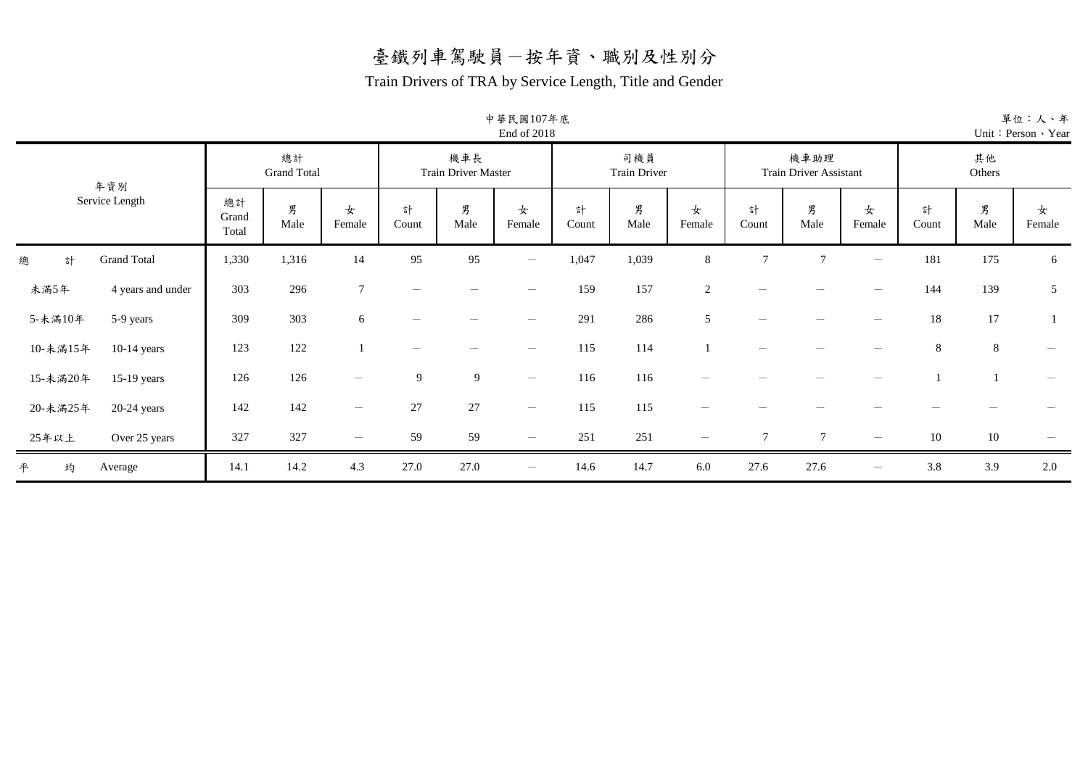#### Train Drivers of TRA by Service Length, Title and Gender

|                              |                      |                          |                          |                                 |                                   | 中華民國107年底<br>End of 2018        |            |                     |                |                |                                |                   |            |              | 單位:人、<br>Unit: Person Yea |
|------------------------------|----------------------|--------------------------|--------------------------|---------------------------------|-----------------------------------|---------------------------------|------------|---------------------|----------------|----------------|--------------------------------|-------------------|------------|--------------|---------------------------|
| 年資別                          |                      | 總計<br><b>Grand Total</b> |                          |                                 | 機車長<br><b>Train Driver Master</b> |                                 |            | 司機員<br>Train Driver |                |                | 機車助理<br>Train Driver Assistant |                   |            | 其他<br>Others |                           |
| Service Length               | 總計<br>Grand<br>Total | 男<br>Male                | 女<br>Female              | 計<br>Count                      | 男<br>Male                         | 女<br>Female                     | 計<br>Count | 男<br>Male           | 女<br>Female    | 計<br>Count     | 男<br>Male                      | 女<br>Female       | 計<br>Count | 男<br>Male    | 女<br>Female               |
| 總<br><b>Grand Total</b><br>計 | 1,330                | 1,316                    | 14                       | 95                              | 95                                | $\overline{\phantom{m}}$        | 1,047      | 1,039               | 8              | $\overline{7}$ | $\tau$                         | $\qquad \qquad -$ | 181        | 175          | 6                         |
| 未滿5年<br>4 years and under    | 303                  | 296                      | $\tau$                   | $\hspace{0.1mm}-\hspace{0.1mm}$ |                                   |                                 | 159        | 157                 | $\overline{c}$ |                |                                |                   | 144        | 139          | $\mathfrak{S}$            |
| 5-未滿10年<br>5-9 years         | 309                  | 303                      | 6                        | $\overline{\phantom{a}}$        |                                   | $\overline{\phantom{a}}$        | 291        | 286                 | 5              | -              |                                | -                 | $18\,$     | 17           | 1                         |
| 10-未滿15年<br>$10-14$ years    | 123                  | 122                      |                          |                                 |                                   |                                 | 115        | 114                 |                |                |                                |                   | $8\,$      | $8\,$        |                           |
| 15-未滿20年<br>$15-19$ years    | 126                  | 126                      |                          | $\overline{9}$                  | 9                                 | $\hspace{0.1mm}-\hspace{0.1mm}$ | 116        | 116                 |                |                |                                |                   |            |              |                           |
| 20-未滿25年<br>$20-24$ years    | 142                  | 142                      | $\overline{\phantom{a}}$ | 27                              | $27\,$                            | $\overline{\phantom{a}}$        | 115        | 115                 |                |                |                                |                   |            |              |                           |
| 25年以上<br>Over 25 years       | 327                  | 327                      |                          | 59                              | 59                                | $\hspace{0.1mm}-\hspace{0.1mm}$ | 251        | 251                 | -              | $\mathcal{I}$  | $\tau$                         | $\qquad \qquad -$ | 10         | $10\,$       |                           |
| 平<br>均<br>Average            | 14.1                 | 14.2                     | 4.3                      | 27.0                            | 27.0                              | $\qquad \qquad -$               | 14.6       | 14.7                | 6.0            | 27.6           | 27.6                           | $\qquad \qquad -$ | 3.8        | 3.9          | 2.0                       |

單位:人、年 Year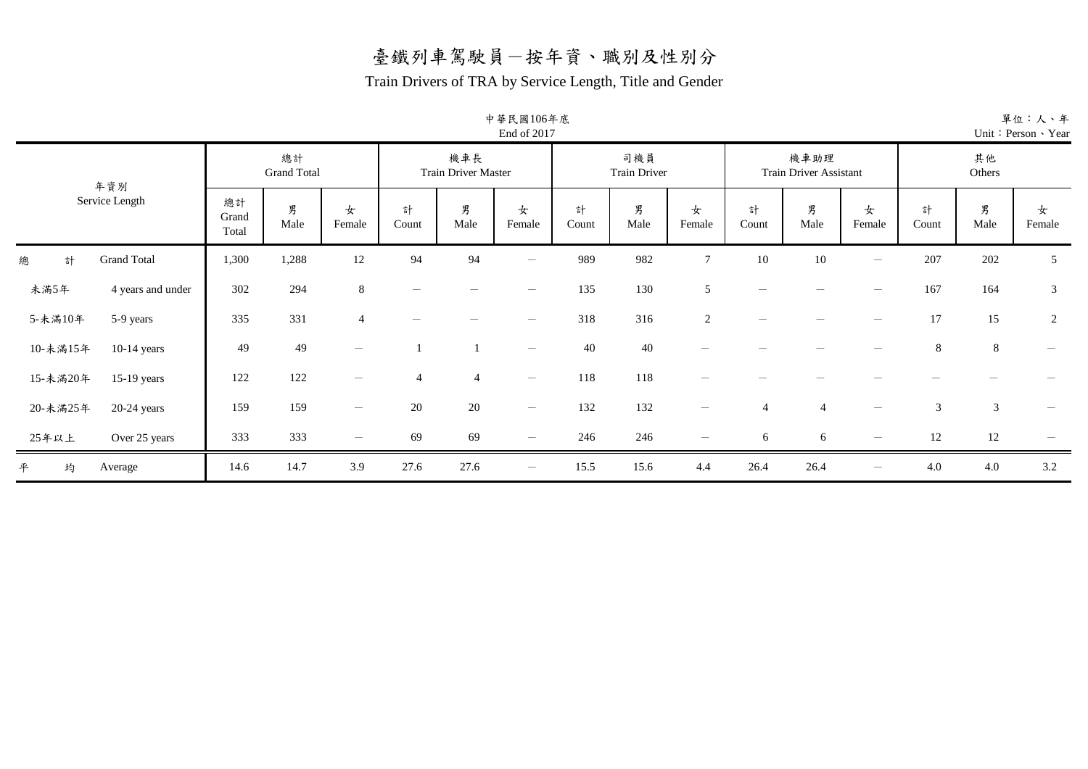#### Train Drivers of TRA by Service Length, Title and Gender

|                              |                      |                          |                   |                |                            | 中華民國106年底<br>End of 2017        |            |                     |                                 |            |                                |                          |            |                | 單位:人、年<br>Unit: Person > Year |
|------------------------------|----------------------|--------------------------|-------------------|----------------|----------------------------|---------------------------------|------------|---------------------|---------------------------------|------------|--------------------------------|--------------------------|------------|----------------|-------------------------------|
| 年資別                          |                      | 總計<br><b>Grand Total</b> |                   |                | 機車長<br>Train Driver Master |                                 |            | 司機員<br>Train Driver |                                 |            | 機車助理<br>Train Driver Assistant |                          |            | 其他<br>Others   |                               |
| Service Length               | 總計<br>Grand<br>Total | 男<br>Male                | 女<br>Female       | 計<br>Count     | 男<br>Male                  | 女<br>Female                     | 計<br>Count | 男<br>Male           | 女<br>Female                     | 計<br>Count | 男<br>Male                      | 女<br>Female              | 計<br>Count | 男<br>Male      | 女<br>Female                   |
| <b>Grand Total</b><br>總<br>計 | 1,300                | 1,288                    | 12                | 94             | 94                         |                                 | 989        | 982                 | $\overline{7}$                  | 10         | 10                             | $\overline{\phantom{0}}$ | 207        | 202            | 5                             |
| 未滿5年<br>4 years and under    | 302                  | 294                      | $8\,$             |                |                            | $\hspace{0.1mm}-\hspace{0.1mm}$ | 135        | 130                 | 5                               |            |                                |                          | 167        | 164            | $\sqrt{3}$                    |
| 5-未滿10年<br>5-9 years         | 335                  | 331                      | $\overline{4}$    |                |                            |                                 | 318        | 316                 | 2                               |            |                                |                          | 17         | 15             | 2                             |
| 10-未滿15年<br>$10-14$ years    | 49                   | 49                       | $\qquad \qquad -$ |                |                            | $\overline{\phantom{m}}$        | 40         | 40                  |                                 |            |                                |                          | 8          | 8              |                               |
| 15-未滿20年<br>$15-19$ years    | 122                  | 122                      | -                 | $\overline{4}$ | $\overline{4}$             | $\overline{\phantom{m}}$        | 118        | 118                 |                                 |            |                                |                          |            |                |                               |
| 20-未滿25年<br>$20-24$ years    | 159                  | 159                      |                   | $20\,$         | $20\,$                     | $\overline{\phantom{m}}$        | 132        | 132                 |                                 |            | $\overline{4}$                 |                          | 3          | $\mathfrak{Z}$ |                               |
| 25年以上<br>Over 25 years       | 333                  | 333                      | -                 | 69             | 69                         | $\overline{\phantom{m}}$        | 246        | 246                 | $\hspace{0.1mm}-\hspace{0.1mm}$ | 6          | 6                              |                          | 12         | 12             |                               |
| 平<br>均<br>Average            | 14.6                 | 14.7                     | 3.9               | 27.6           | 27.6                       | $\qquad \qquad -$               | 15.5       | 15.6                | 4.4                             | 26.4       | 26.4                           | -                        | 4.0        | 4.0            | 3.2                           |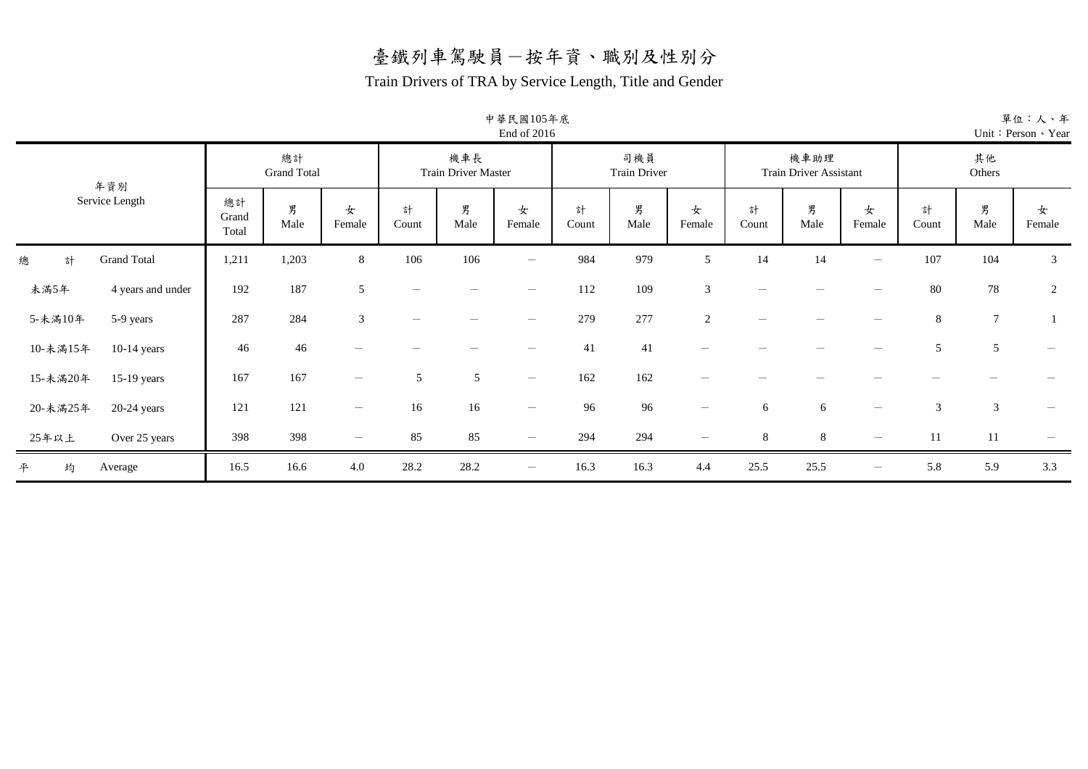#### Train Drivers of TRA by Service Length, Title and Gender

中華民國105年底

|                              |                      |                          |                                 |                                 |                                   | End of 2016                     |            |                            |                |            |                                       |                                 |            |                | Unit: Person > Year             |
|------------------------------|----------------------|--------------------------|---------------------------------|---------------------------------|-----------------------------------|---------------------------------|------------|----------------------------|----------------|------------|---------------------------------------|---------------------------------|------------|----------------|---------------------------------|
| 年資別                          |                      | 總計<br><b>Grand Total</b> |                                 |                                 | 機車長<br><b>Train Driver Master</b> |                                 |            | 司機員<br><b>Train Driver</b> |                |            | 機車助理<br><b>Train Driver Assistant</b> |                                 |            | 其他<br>Others   |                                 |
| Service Length               | 總計<br>Grand<br>Total | 男<br>Male                | 女<br>Female                     | 計<br>Count                      | 男<br>Male                         | 女<br>Female                     | 計<br>Count | 男<br>Male                  | 女<br>Female    | 計<br>Count | 男<br>Male                             | 女<br>Female                     | 計<br>Count | 男<br>Male      | 女<br>Female                     |
| 總<br><b>Grand Total</b><br>計 | 1,211                | 1,203                    | 8                               | 106                             | 106                               | $\hspace{0.1mm}-\hspace{0.1mm}$ | 984        | 979                        | 5              | 14         | 14                                    | $\hspace{0.1mm}-\hspace{0.1mm}$ | 107        | 104            | 3                               |
| 未滿5年<br>4 years and under    | 192                  | 187                      | 5                               | $\hspace{0.1mm}-\hspace{0.1mm}$ |                                   | $\hspace{0.1mm}-\hspace{0.1mm}$ | 112        | 109                        | 3              |            |                                       |                                 | 80         | 78             | 2                               |
| 5-未滿10年<br>5-9 years         | 287                  | 284                      | 3                               | -                               | $\overline{\phantom{a}}$          | $\hspace{0.1mm}-\hspace{0.1mm}$ | 279        | 277                        | $\overline{c}$ |            |                                       |                                 | $8\,$      | $\overline{7}$ |                                 |
| 10-未滿15年<br>$10-14$ years    | 46                   | 46                       | $\qquad \qquad$                 |                                 |                                   | $\overline{\phantom{a}}$        | 41         | 41                         |                |            |                                       |                                 | 5          | $\sqrt{5}$     | $\overbrace{\phantom{1232211}}$ |
| 15-未滿20年<br>$15-19$ years    | 167                  | 167                      |                                 | 5                               | 5                                 | $\hspace{0.1mm}-\hspace{0.1mm}$ | 162        | 162                        |                |            |                                       |                                 |            |                |                                 |
| 20-未滿25年<br>$20-24$ years    | 121                  | 121                      | $\hspace{0.1mm}-\hspace{0.1mm}$ | 16                              | 16                                | $\hspace{0.1mm}-\hspace{0.1mm}$ | 96         | 96                         |                | 6          | 6                                     | $\hspace{0.1mm}-\hspace{0.1mm}$ | 3          | 3              |                                 |
| 25年以上<br>Over 25 years       | 398                  | 398                      | $\qquad \qquad -$               | 85                              | 85                                | $\hspace{0.1mm}-\hspace{0.1mm}$ | 294        | 294                        |                | $8\,$      | 8                                     |                                 | 11         | $11\,$         |                                 |
| 平<br>均<br>Average            | 16.5                 | 16.6                     | 4.0                             | 28.2                            | 28.2                              | $\overline{\phantom{m}}$        | 16.3       | 16.3                       | 4.4            | 25.5       | 25.5                                  | $\hspace{0.1mm}-\hspace{0.1mm}$ | 5.8        | 5.9            | 3.3                             |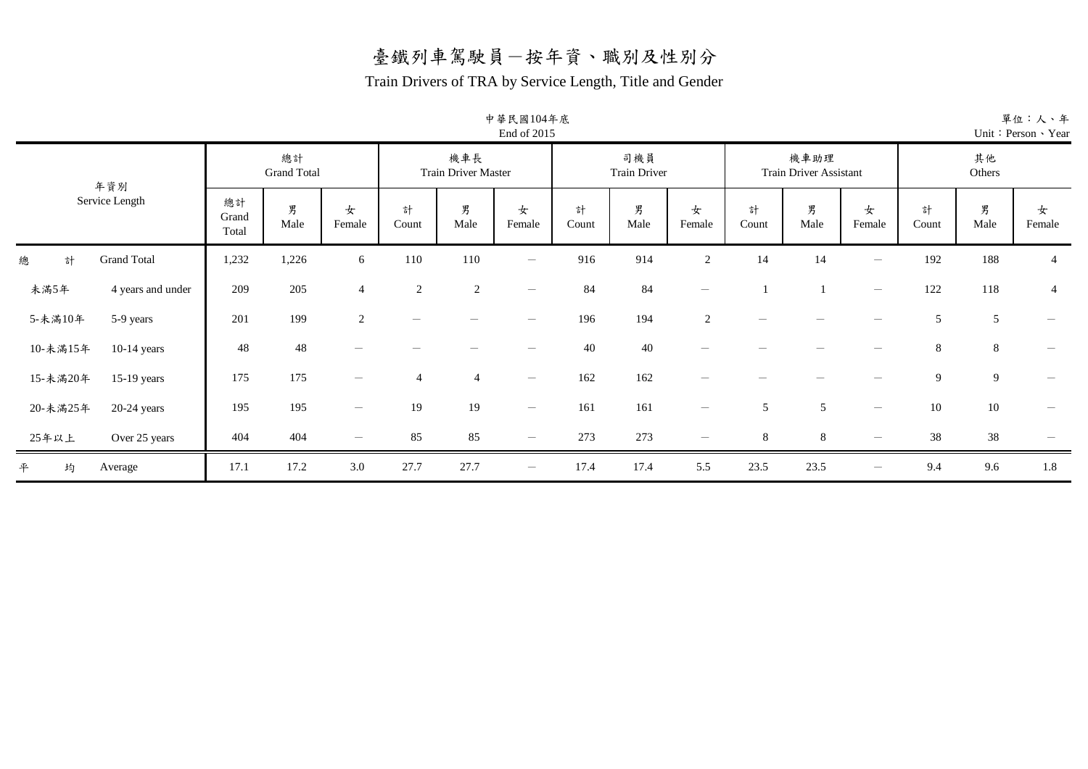#### Train Drivers of TRA by Service Length, Title and Gender

中華民國104年底

|                              |                      |                          |                |                |                            | End of 2015              |            |                            |                                 |            |                                       |                          |            |              | Unit: Person > Year      |
|------------------------------|----------------------|--------------------------|----------------|----------------|----------------------------|--------------------------|------------|----------------------------|---------------------------------|------------|---------------------------------------|--------------------------|------------|--------------|--------------------------|
| 年資別                          |                      | 總計<br><b>Grand Total</b> |                |                | 機車長<br>Train Driver Master |                          |            | 司機員<br><b>Train Driver</b> |                                 |            | 機車助理<br><b>Train Driver Assistant</b> |                          |            | 其他<br>Others |                          |
| Service Length               | 總計<br>Grand<br>Total | 男<br>Male                | 女<br>Female    | 計<br>Count     | 男<br>Male                  | 女<br>Female              | 計<br>Count | 男<br>Male                  | 女<br>Female                     | 計<br>Count | 男<br>Male                             | 女<br>Female              | 計<br>Count | 男<br>Male    | 女<br>Female              |
| <b>Grand Total</b><br>總<br>計 | 1,232                | 1,226                    | 6              | 110            | 110                        | $\overline{\phantom{m}}$ | 916        | 914                        | $\overline{2}$                  | 14         | 14                                    | $\qquad \qquad -$        | 192        | 188          | $\overline{4}$           |
| 未滿5年<br>4 years and under    | 209                  | 205                      | $\overline{4}$ | $\overline{2}$ | $\sqrt{2}$                 | $\overline{\phantom{m}}$ | 84         | 84                         | $\overline{\phantom{a}}$        |            |                                       | $\overline{\phantom{a}}$ | 122        | 118          | $\overline{4}$           |
| 5-未滿10年<br>5-9 years         | 201                  | 199                      | $\overline{c}$ |                |                            | $\qquad \qquad -$        | 196        | 194                        | 2                               |            |                                       |                          | 5          | 5            |                          |
| 10-未滿15年<br>$10-14$ years    | 48                   | 48                       |                |                |                            | -                        | 40         | 40                         |                                 |            |                                       |                          | $8\,$      | $8\,$        |                          |
| 15-未滿20年<br>$15-19$ years    | 175                  | 175                      |                | $\overline{4}$ | $\overline{4}$             | $\overline{\phantom{m}}$ | 162        | 162                        |                                 |            |                                       |                          | 9          | 9            |                          |
| 20-未滿25年<br>$20-24$ years    | 195                  | 195                      |                | 19             | 19                         | $\overline{\phantom{m}}$ | 161        | 161                        | $\overline{\phantom{a}}$        | 5          | 5                                     | $\overline{\phantom{0}}$ | 10         | 10           | $\overline{\phantom{a}}$ |
| 25年以上<br>Over 25 years       | 404                  | 404                      |                | 85             | 85                         | $\overline{\phantom{m}}$ | 273        | 273                        | $\hspace{0.1mm}-\hspace{0.1mm}$ | 8          | 8                                     |                          | 38         | 38           |                          |
| 平<br>均<br>Average            | 17.1                 | 17.2                     | 3.0            | 27.7           | 27.7                       | $\overline{\phantom{m}}$ | 17.4       | 17.4                       | 5.5                             | 23.5       | 23.5                                  | $\overline{\phantom{0}}$ | 9.4        | 9.6          | 1.8                      |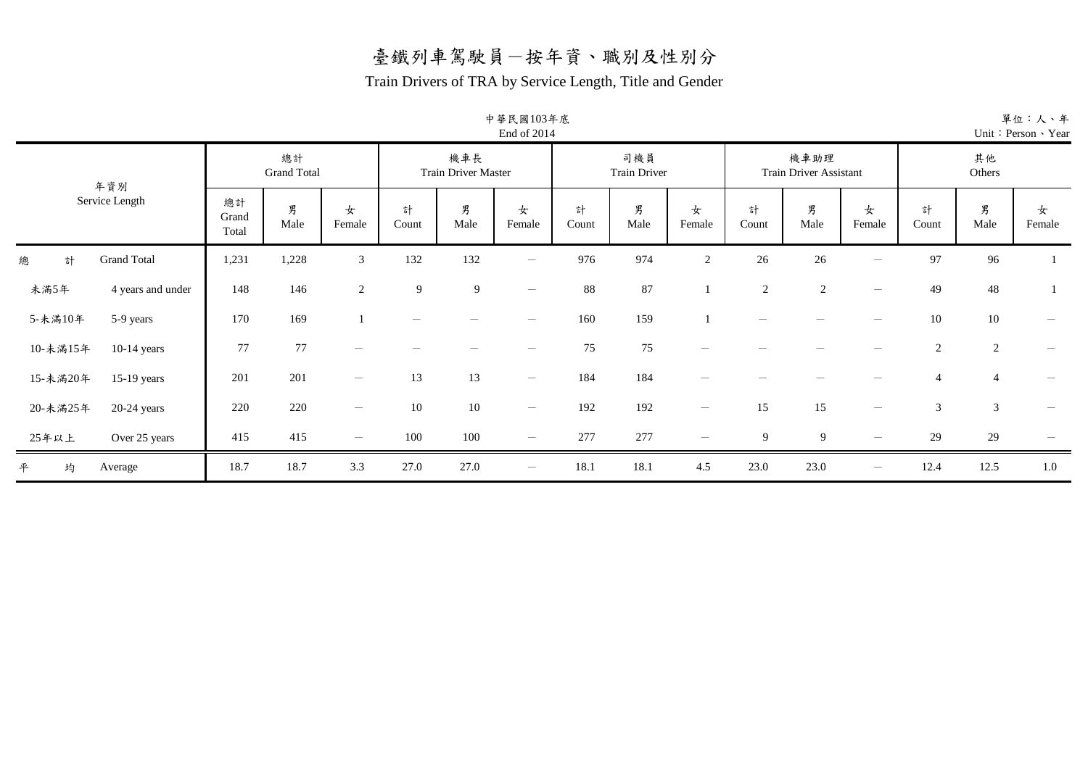#### Train Drivers of TRA by Service Length, Title and Gender

中華民國103年底

|                              | End of 2014          |                          |                                 |                 |                                   |                                 |            |                            |                                 |                |                                       |                                 |                |                | Unit: Person > Year             |
|------------------------------|----------------------|--------------------------|---------------------------------|-----------------|-----------------------------------|---------------------------------|------------|----------------------------|---------------------------------|----------------|---------------------------------------|---------------------------------|----------------|----------------|---------------------------------|
| 年資別                          |                      | 總計<br><b>Grand Total</b> |                                 |                 | 機車長<br><b>Train Driver Master</b> |                                 |            | 司機員<br><b>Train Driver</b> |                                 |                | 機車助理<br><b>Train Driver Assistant</b> |                                 |                | 其他<br>Others   |                                 |
| Service Length               | 總計<br>Grand<br>Total | 男<br>Male                | 女<br>Female                     | 計<br>Count      | 男<br>Male                         | 女<br>Female                     | 計<br>Count | 男<br>Male                  | 女<br>Female                     | 計<br>Count     | 男<br>Male                             | 女<br>Female                     | 計<br>Count     | 男<br>Male      | 女<br>Female                     |
| <b>Grand Total</b><br>總<br>計 | 1,231                | 1,228                    | 3                               | 132             | 132                               | $\hspace{0.1mm}-\hspace{0.1mm}$ | 976        | 974                        | $\overline{2}$                  | 26             | 26                                    | $\qquad \qquad$                 | 97             | 96             |                                 |
| 未滿5年<br>4 years and under    | 148                  | 146                      | $\overline{2}$                  | 9               | 9                                 | $\hspace{0.1mm}-\hspace{0.1mm}$ | 88         | 87                         |                                 | $\overline{2}$ | 2                                     | $\overline{\phantom{m}}$        | 49             | 48             |                                 |
| 5-未滿10年<br>5-9 years         | 170                  | 169                      |                                 | $\qquad \qquad$ |                                   | $\hspace{0.1mm}-\hspace{0.1mm}$ | 160        | 159                        |                                 |                |                                       |                                 | $10\,$         | $10\,$         | $\qquad \qquad -$               |
| 10-未滿15年<br>$10-14$ years    | 77                   | 77                       | $\qquad \qquad$                 |                 |                                   | $\overline{\phantom{0}}$        | 75         | 75                         |                                 |                |                                       |                                 | $\sqrt{2}$     | $\sqrt{2}$     |                                 |
| 15-未滿20年<br>$15-19$ years    | 201                  | 201                      | $\overline{\phantom{m}}$        | 13              | 13                                | $\overline{\phantom{a}}$        | 184        | 184                        |                                 |                |                                       |                                 | $\overline{4}$ | $\overline{4}$ |                                 |
| 20-未滿25年<br>$20-24$ years    | 220                  | 220                      | $\hspace{0.1mm}-\hspace{0.1mm}$ | 10              | $10\,$                            | $\hspace{0.1mm}-\hspace{0.1mm}$ | 192        | 192                        | $\hspace{0.1mm}-\hspace{0.1mm}$ | 15             | 15                                    | $\hspace{0.1mm}-\hspace{0.1mm}$ | $\mathfrak{Z}$ | $\mathfrak{Z}$ | $\hspace{0.1mm}-\hspace{0.1mm}$ |
| 25年以上<br>Over 25 years       | 415                  | 415                      | $\hspace{0.1mm}-\hspace{0.1mm}$ | 100             | 100                               | $\hspace{0.1mm}-\hspace{0.1mm}$ | 277        | 277                        |                                 | 9              | 9                                     |                                 | 29             | 29             |                                 |
| 平<br>均<br>Average            | 18.7                 | 18.7                     | 3.3                             | 27.0            | 27.0                              | $\overline{\phantom{m}}$        | 18.1       | 18.1                       | 4.5                             | 23.0           | 23.0                                  | $\hspace{0.1mm}-\hspace{0.1mm}$ | 12.4           | 12.5           | $1.0\,$                         |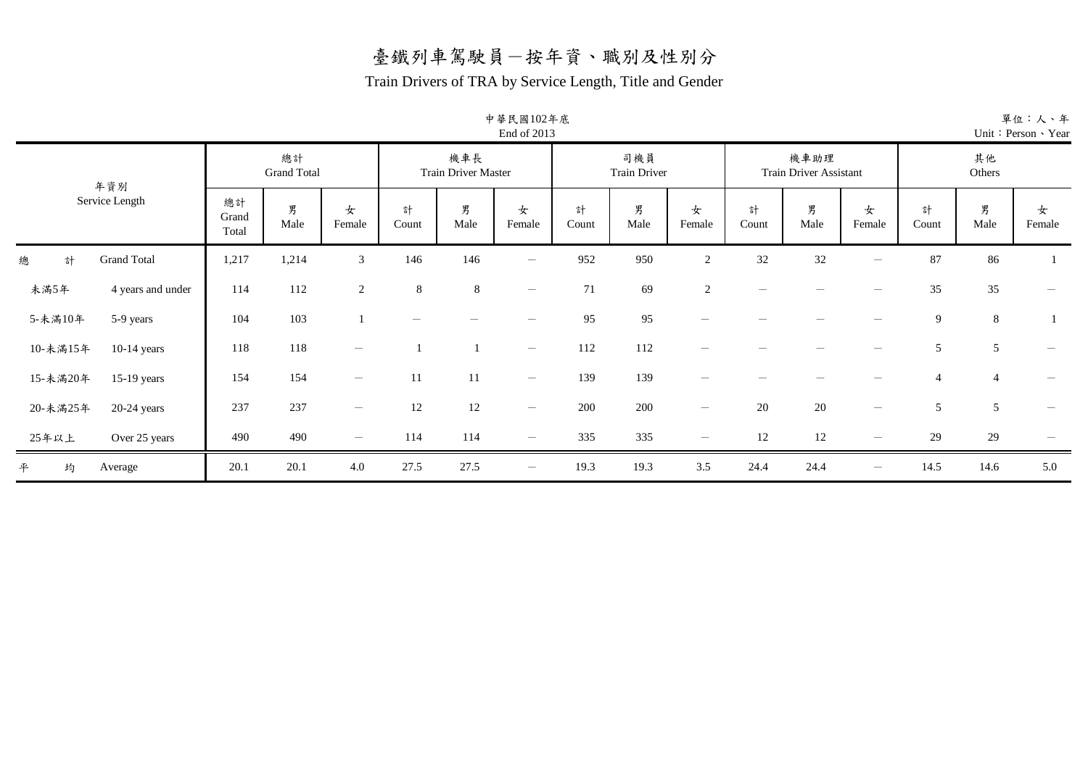#### Train Drivers of TRA by Service Length, Title and Gender

中華民國102年底

|                              | End of 2013          |                          |                                 |                 |                                   |                                 |            |                            |                                 |            |                                       |                                 |                |                | Unit: Person > Year      |
|------------------------------|----------------------|--------------------------|---------------------------------|-----------------|-----------------------------------|---------------------------------|------------|----------------------------|---------------------------------|------------|---------------------------------------|---------------------------------|----------------|----------------|--------------------------|
| 年資別                          |                      | 總計<br><b>Grand Total</b> |                                 |                 | 機車長<br><b>Train Driver Master</b> |                                 |            | 司機員<br><b>Train Driver</b> |                                 |            | 機車助理<br><b>Train Driver Assistant</b> |                                 |                | 其他<br>Others   |                          |
| Service Length               | 總計<br>Grand<br>Total | 男<br>Male                | 女<br>Female                     | 計<br>Count      | 男<br>Male                         | 女<br>Female                     | 計<br>Count | 男<br>Male                  | 女<br>Female                     | 計<br>Count | 男<br>Male                             | 女<br>Female                     | 計<br>Count     | 男<br>Male      | 女<br>Female              |
| 總<br><b>Grand Total</b><br>計 | 1,217                | 1,214                    | 3                               | 146             | 146                               | $\hspace{0.1mm}-\hspace{0.1mm}$ | 952        | 950                        | $\overline{2}$                  | 32         | 32                                    | $\hspace{0.1mm}-\hspace{0.1mm}$ | 87             | 86             |                          |
| 未滿5年<br>4 years and under    | 114                  | 112                      | 2                               | $8\phantom{.0}$ | 8                                 | $\hspace{0.1mm}-\hspace{0.1mm}$ | 71         | 69                         | 2                               |            |                                       |                                 | 35             | 35             | $\overline{\phantom{m}}$ |
| 5-未滿10年<br>5-9 years         | 104                  | 103                      |                                 |                 |                                   |                                 | 95         | 95                         |                                 |            |                                       |                                 | 9              | $\,8\,$        |                          |
| 10-未滿15年<br>$10-14$ years    | 118                  | 118                      |                                 |                 |                                   | $\overline{\phantom{m}}$        | 112        | 112                        |                                 |            |                                       |                                 | 5              | 5              | $\overline{\phantom{m}}$ |
| 15-未滿20年<br>$15-19$ years    | 154                  | 154                      | $\overline{\phantom{m}}$        | 11              | 11                                | $\overline{\phantom{a}}$        | 139        | 139                        |                                 |            |                                       |                                 | $\overline{4}$ | $\overline{4}$ |                          |
| 20-未滿25年<br>$20-24$ years    | 237                  | 237                      | $\overline{\phantom{m}}$        | 12              | 12                                | $\overline{\phantom{m}}$        | 200        | 200                        | $\hspace{0.1mm}-\hspace{0.1mm}$ | 20         | 20                                    | $\hspace{0.1mm}-\hspace{0.1mm}$ | 5              | 5              |                          |
| 25年以上<br>Over 25 years       | 490                  | 490                      | $\hspace{0.1mm}-\hspace{0.1mm}$ | 114             | 114                               | $\overline{\phantom{m}}$        | 335        | 335                        |                                 | 12         | $12\,$                                |                                 | 29             | 29             |                          |
| 平<br>均<br>Average            | 20.1                 | 20.1                     | 4.0                             | 27.5            | 27.5                              | $\overline{\phantom{m}}$        | 19.3       | 19.3                       | 3.5                             | 24.4       | 24.4                                  | $\hspace{0.1mm}-\hspace{0.1mm}$ | 14.5           | 14.6           | 5.0                      |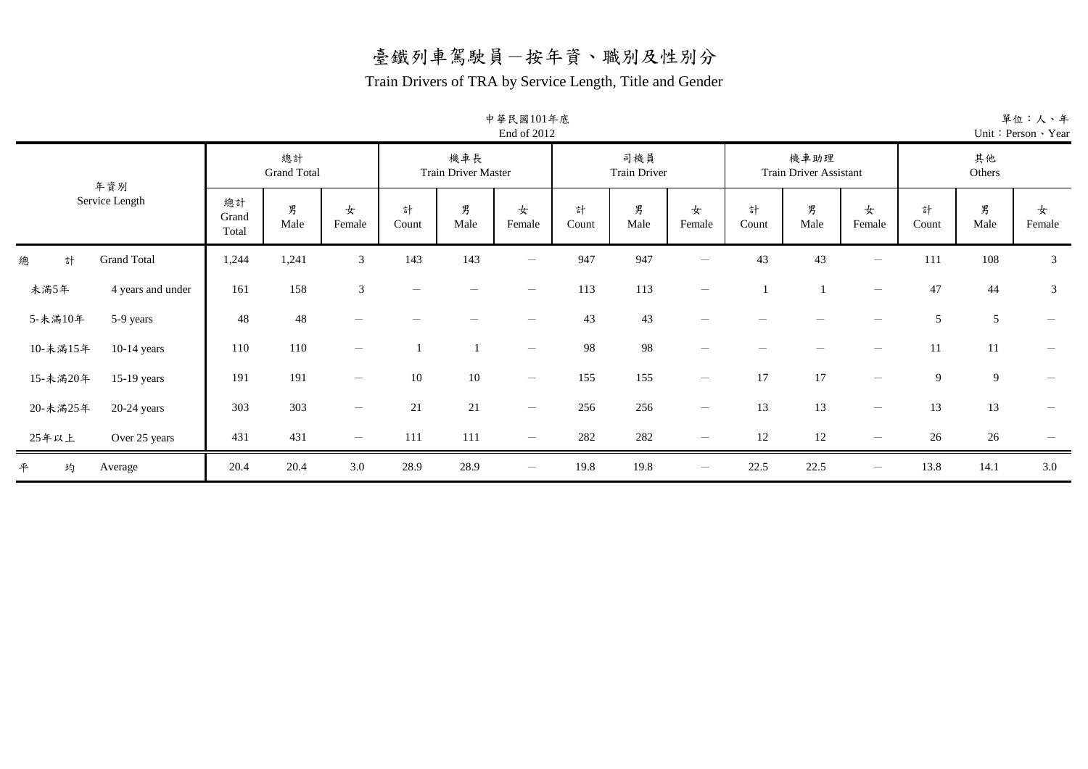#### Train Drivers of TRA by Service Length, Title and Gender

中華民國101年底

|                              |                          |           |                          |                                   |           | End of 2012                     |                            |           |                                 |                                       |           |                                 |              |            | Unit: Person · Ye |  |
|------------------------------|--------------------------|-----------|--------------------------|-----------------------------------|-----------|---------------------------------|----------------------------|-----------|---------------------------------|---------------------------------------|-----------|---------------------------------|--------------|------------|-------------------|--|
| 年資別<br>Service Length        | 總計<br><b>Grand Total</b> |           |                          | 機車長<br><b>Train Driver Master</b> |           |                                 | 司機員<br><b>Train Driver</b> |           |                                 | 機車助理<br><b>Train Driver Assistant</b> |           |                                 | 其他<br>Others |            |                   |  |
|                              | 總計<br>Grand<br>Total     | 男<br>Male | 女<br>Female              | 計<br>Count                        | 男<br>Male | 女<br>Female                     | 計<br>Count                 | 男<br>Male | 女<br>Female                     | 計<br>Count                            | 男<br>Male | 女<br>Female                     | 計<br>Count   | 男<br>Male  | 女<br>Female       |  |
| 總<br><b>Grand Total</b><br>計 | 1,244                    | 1,241     | $\mathfrak{Z}$           | 143                               | 143       | $\hspace{0.1mm}-\hspace{0.1mm}$ | 947                        | 947       | $\overline{\phantom{m}}$        | 43                                    | 43        | $\overline{\phantom{m}}$        | 111          | 108        | $\mathfrak{Z}$    |  |
| 未滿5年<br>4 years and under    | 161                      | 158       | $\mathfrak{Z}$           |                                   |           |                                 | 113                        | 113       | $\overline{\phantom{a}}$        |                                       |           | $\overline{\phantom{m}}$        | 47           | 44         | $\mathfrak{Z}$    |  |
| 5-未滿10年<br>5-9 years         | 48                       | 48        |                          |                                   |           |                                 | 43                         | 43        |                                 |                                       |           |                                 | 5            | $\sqrt{5}$ |                   |  |
| 10-未滿15年<br>$10-14$ years    | 110                      | 110       | $\overline{\phantom{m}}$ |                                   |           | $\hspace{0.1mm}-\hspace{0.1mm}$ | 98                         | 98        | $\hspace{0.1mm}-\hspace{0.1mm}$ |                                       |           | $\hspace{0.1mm}-\hspace{0.1mm}$ | 11           | 11         |                   |  |
| 15-未滿20年<br>15-19 years      | 191                      | 191       | $\overline{\phantom{a}}$ | 10                                | 10        | $\hspace{0.1mm}-\hspace{0.1mm}$ | 155                        | 155       | $\overline{\phantom{m}}$        | 17                                    | 17        | $\overline{\phantom{m}}$        | 9            | 9          |                   |  |
| 20-未滿25年<br>20-24 years      | 303                      | 303       | $\overline{\phantom{m}}$ | 21                                | $21\,$    | $\hspace{0.1mm}-\hspace{0.1mm}$ | 256                        | 256       | $\hspace{0.1mm}-\hspace{0.1mm}$ | 13                                    | 13        | $\overline{\phantom{a}}$        | 13           | 13         |                   |  |
| 25年以上<br>Over 25 years       | 431                      | 431       | $\qquad \qquad -$        | 111                               | 111       | $\hspace{0.1mm}-\hspace{0.1mm}$ | 282                        | 282       | $\hspace{0.1mm}-\hspace{0.1mm}$ | 12                                    | 12        | $\overline{\phantom{m}}$        | 26           | 26         |                   |  |
| 平<br>均<br>Average            | 20.4                     | 20.4      | 3.0                      | 28.9                              | 28.9      | $\hspace{0.1mm}-\hspace{0.1mm}$ | 19.8                       | 19.8      | $\overline{\phantom{m}}$        | 22.5                                  | 22.5      | $\overline{\phantom{m}}$        | 13.8         | 14.1       | 3.0               |  |

單位:人、年 ear